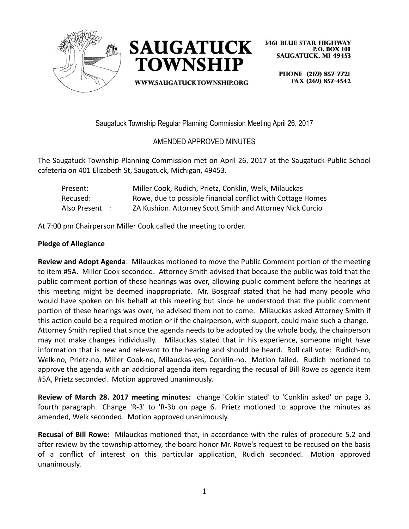



**WWW.SAUGATUCKTOWNSHIP.ORG** 

**3461 BLUE STAR HIGHWAY P.O. BOX 100 SAUGATUCK, MI 49453** 

> PHONE (269) 857-7721 FAX (269) 857-4542

Saugatuck Township Regular Planning Commission Meeting April 26, 2017

# AMENDED APPROVED MINUTES

The Saugatuck Township Planning Commission met on April 26, 2017 at the Saugatuck Public School cafeteria on 401 Elizabeth St, Saugatuck, Michigan, 49453.

| Present:       | Miller Cook, Rudich, Prietz, Conklin, Welk, Milauckas       |
|----------------|-------------------------------------------------------------|
| Recused:       | Rowe, due to possible financial conflict with Cottage Homes |
| Also Present : | ZA Kushion. Attorney Scott Smith and Attorney Nick Curcio   |

At 7:00 pm Chairperson Miller Cook called the meeting to order.

## **Pledge of Allegiance**

**Review and Adopt Agenda**: Milauckas motioned to move the Public Comment portion of the meeting to item #5A. Miller Cook seconded. Attorney Smith advised that because the public was told that the public comment portion of these hearings was over, allowing public comment before the hearings at this meeting might be deemed inappropriate. Mr. Bosgraaf stated that he had many people who would have spoken on his behalf at this meeting but since he understood that the public comment portion of these hearings was over, he advised them not to come. Milauckas asked Attorney Smith if this action could be a required motion or if the chairperson, with support, could make such a change. Attorney Smith replied that since the agenda needs to be adopted by the whole body, the chairperson may not make changes individually. Milauckas stated that in his experience, someone might have information that is new and relevant to the hearing and should be heard. Roll call vote: Rudich-no, Welk-no, Prietz-no, Miller Cook-no, Milauckas-yes, Conklin-no. Motion failed. Rudich motioned to approve the agenda with an additional agenda item regarding the recusal of Bill Rowe as agenda item #5A, Prietz seconded. Motion approved unanimously.

**Review of March 28. 2017 meeting minutes:** change 'Coklin stated' to 'Conklin asked' on page 3, fourth paragraph. Change 'R-3' to 'R-3b on page 6. Prietz motioned to approve the minutes as amended, Welk seconded. Motion approved unanimously.

**Recusal of Bill Rowe:** Milauckas motioned that, in accordance with the rules of procedure 5.2 and after review by the township attorney, the board honor Mr. Rowe's request to be recused on the basis of a conflict of interest on this particular application, Rudich seconded. Motion approved unanimously.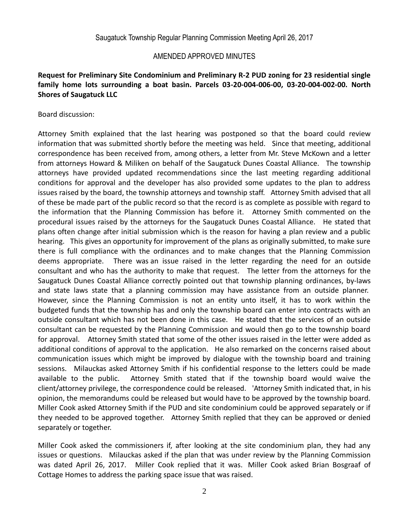#### **Request for Preliminary Site Condominium and Preliminary R-2 PUD zoning for 23 residential single family home lots surrounding a boat basin. Parcels 03-20-004-006-00, 03-20-004-002-00. North Shores of Saugatuck LLC**

#### Board discussion:

Attorney Smith explained that the last hearing was postponed so that the board could review information that was submitted shortly before the meeting was held. Since that meeting, additional correspondence has been received from, among others, a letter from Mr. Steve McKown and a letter from attorneys Howard & Miliken on behalf of the Saugatuck Dunes Coastal Alliance. The township attorneys have provided updated recommendations since the last meeting regarding additional conditions for approval and the developer has also provided some updates to the plan to address issues raised by the board, the township attorneys and township staff. Attorney Smith advised that all of these be made part of the public record so that the record is as complete as possible with regard to the information that the Planning Commission has before it. Attorney Smith commented on the procedural issues raised by the attorneys for the Saugatuck Dunes Coastal Alliance. He stated that plans often change after initial submission which is the reason for having a plan review and a public hearing. This gives an opportunity for improvement of the plans as originally submitted, to make sure there is full compliance with the ordinances and to make changes that the Planning Commission deems appropriate. There was an issue raised in the letter regarding the need for an outside consultant and who has the authority to make that request. The letter from the attorneys for the Saugatuck Dunes Coastal Alliance correctly pointed out that township planning ordinances, by-laws and state laws state that a planning commission may have assistance from an outside planner. However, since the Planning Commission is not an entity unto itself, it has to work within the budgeted funds that the township has and only the township board can enter into contracts with an outside consultant which has not been done in this case. He stated that the services of an outside consultant can be requested by the Planning Commission and would then go to the township board for approval. Attorney Smith stated that some of the other issues raised in the letter were added as additional conditions of approval to the application. He also remarked on the concerns raised about communication issues which might be improved by dialogue with the township board and training sessions. Milauckas asked Attorney Smith if his confidential response to the letters could be made available to the public. Attorney Smith stated that if the township board would waive the client/attorney privilege, the correspondence could be released. 'Attorney Smith indicated that, in his opinion, the memorandums could be released but would have to be approved by the township board. Miller Cook asked Attorney Smith if the PUD and site condominium could be approved separately or if they needed to be approved together. Attorney Smith replied that they can be approved or denied separately or together.

Miller Cook asked the commissioners if, after looking at the site condominium plan, they had any issues or questions. Milauckas asked if the plan that was under review by the Planning Commission was dated April 26, 2017. Miller Cook replied that it was. Miller Cook asked Brian Bosgraaf of Cottage Homes to address the parking space issue that was raised.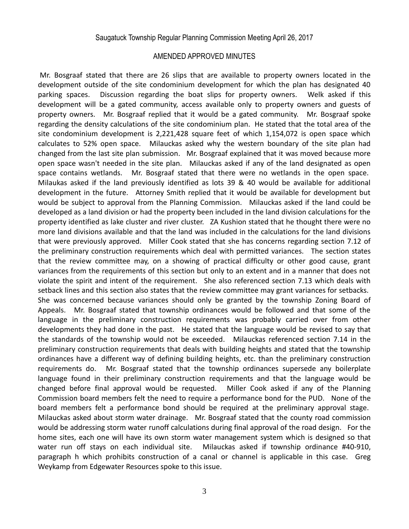Mr. Bosgraaf stated that there are 26 slips that are available to property owners located in the development outside of the site condominium development for which the plan has designated 40 parking spaces. Discussion regarding the boat slips for property owners. Welk asked if this development will be a gated community, access available only to property owners and guests of property owners. Mr. Bosgraaf replied that it would be a gated community. Mr. Bosgraaf spoke regarding the density calculations of the site condominium plan. He stated that the total area of the site condominium development is 2,221,428 square feet of which 1,154,072 is open space which calculates to 52% open space. Milauckas asked why the western boundary of the site plan had changed from the last site plan submission. Mr. Bosgraaf explained that it was moved because more open space wasn't needed in the site plan. Milauckas asked if any of the land designated as open space contains wetlands. Mr. Bosgraaf stated that there were no wetlands in the open space. Milaukas asked if the land previously identified as lots 39 & 40 would be available for additional development in the future. Attorney Smith replied that it would be available for development but would be subject to approval from the Planning Commission. Milauckas asked if the land could be developed as a land division or had the property been included in the land division calculations for the property identified as lake cluster and river cluster. ZA Kushion stated that he thought there were no more land divisions available and that the land was included in the calculations for the land divisions that were previously approved. Miller Cook stated that she has concerns regarding section 7.12 of the preliminary construction requirements which deal with permitted variances. The section states that the review committee may, on a showing of practical difficulty or other good cause, grant variances from the requirements of this section but only to an extent and in a manner that does not violate the spirit and intent of the requirement. She also referenced section 7.13 which deals with setback lines and this section also states that the review committee may grant variances for setbacks. She was concerned because variances should only be granted by the township Zoning Board of Appeals. Mr. Bosgraaf stated that township ordinances would be followed and that some of the language in the preliminary construction requirements was probably carried over from other developments they had done in the past. He stated that the language would be revised to say that the standards of the township would not be exceeded. Milauckas referenced section 7.14 in the preliminary construction requirements that deals with building heights and stated that the township ordinances have a different way of defining building heights, etc. than the preliminary construction requirements do. Mr. Bosgraaf stated that the township ordinances supersede any boilerplate language found in their preliminary construction requirements and that the language would be changed before final approval would be requested. Miller Cook asked if any of the Planning Commission board members felt the need to require a performance bond for the PUD. None of the board members felt a performance bond should be required at the preliminary approval stage. Milauckas asked about storm water drainage. Mr. Bosgraaf stated that the county road commission would be addressing storm water runoff calculations during final approval of the road design. For the home sites, each one will have its own storm water management system which is designed so that water run off stays on each individual site. Milauckas asked if township ordinance #40-910, paragraph h which prohibits construction of a canal or channel is applicable in this case. Greg Weykamp from Edgewater Resources spoke to this issue.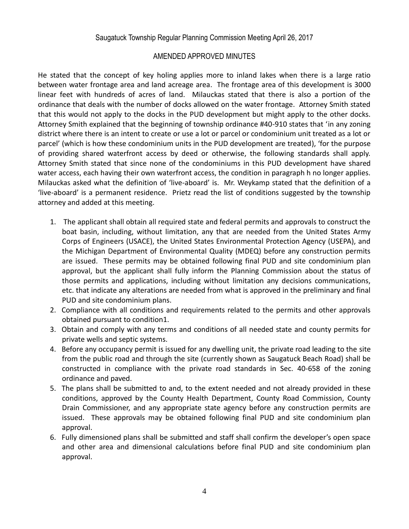He stated that the concept of key holing applies more to inland lakes when there is a large ratio between water frontage area and land acreage area. The frontage area of this development is 3000 linear feet with hundreds of acres of land. Milauckas stated that there is also a portion of the ordinance that deals with the number of docks allowed on the water frontage. Attorney Smith stated that this would not apply to the docks in the PUD development but might apply to the other docks. Attorney Smith explained that the beginning of township ordinance #40-910 states that 'in any zoning district where there is an intent to create or use a lot or parcel or condominium unit treated as a lot or parcel' (which is how these condominium units in the PUD development are treated), 'for the purpose of providing shared waterfront access by deed or otherwise, the following standards shall apply. Attorney Smith stated that since none of the condominiums in this PUD development have shared water access, each having their own waterfront access, the condition in paragraph h no longer applies. Milauckas asked what the definition of 'live-aboard' is. Mr. Weykamp stated that the definition of a 'live-aboard' is a permanent residence. Prietz read the list of conditions suggested by the township attorney and added at this meeting.

- 1. The applicant shall obtain all required state and federal permits and approvals to construct the boat basin, including, without limitation, any that are needed from the United States Army Corps of Engineers (USACE), the United States Environmental Protection Agency (USEPA), and the Michigan Department of Environmental Quality (MDEQ) before any construction permits are issued. These permits may be obtained following final PUD and site condominium plan approval, but the applicant shall fully inform the Planning Commission about the status of those permits and applications, including without limitation any decisions communications, etc. that indicate any alterations are needed from what is approved in the preliminary and final PUD and site condominium plans.
- 2. Compliance with all conditions and requirements related to the permits and other approvals obtained pursuant to condition1.
- 3. Obtain and comply with any terms and conditions of all needed state and county permits for private wells and septic systems.
- 4. Before any occupancy permit is issued for any dwelling unit, the private road leading to the site from the public road and through the site (currently shown as Saugatuck Beach Road) shall be constructed in compliance with the private road standards in Sec. 40-658 of the zoning ordinance and paved.
- 5. The plans shall be submitted to and, to the extent needed and not already provided in these conditions, approved by the County Health Department, County Road Commission, County Drain Commissioner, and any appropriate state agency before any construction permits are issued. These approvals may be obtained following final PUD and site condominium plan approval.
- 6. Fully dimensioned plans shall be submitted and staff shall confirm the developer's open space and other area and dimensional calculations before final PUD and site condominium plan approval.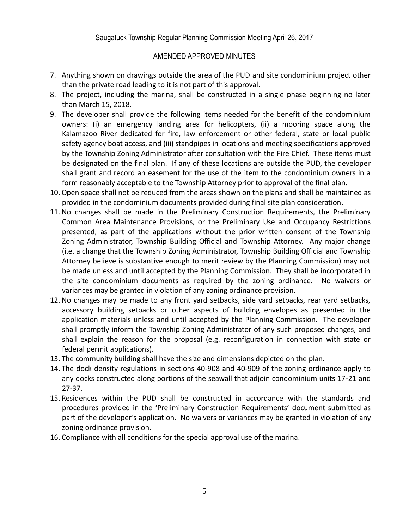- 7. Anything shown on drawings outside the area of the PUD and site condominium project other than the private road leading to it is not part of this approval.
- 8. The project, including the marina, shall be constructed in a single phase beginning no later than March 15, 2018.
- 9. The developer shall provide the following items needed for the benefit of the condominium owners: (i) an emergency landing area for helicopters, (ii) a mooring space along the Kalamazoo River dedicated for fire, law enforcement or other federal, state or local public safety agency boat access, and (iii) standpipes in locations and meeting specifications approved by the Township Zoning Administrator after consultation with the Fire Chief. These items must be designated on the final plan. If any of these locations are outside the PUD, the developer shall grant and record an easement for the use of the item to the condominium owners in a form reasonably acceptable to the Township Attorney prior to approval of the final plan.
- 10. Open space shall not be reduced from the areas shown on the plans and shall be maintained as provided in the condominium documents provided during final site plan consideration.
- 11. No changes shall be made in the Preliminary Construction Requirements, the Preliminary Common Area Maintenance Provisions, or the Preliminary Use and Occupancy Restrictions presented, as part of the applications without the prior written consent of the Township Zoning Administrator, Township Building Official and Township Attorney. Any major change (i.e. a change that the Township Zoning Administrator, Township Building Official and Township Attorney believe is substantive enough to merit review by the Planning Commission) may not be made unless and until accepted by the Planning Commission. They shall be incorporated in the site condominium documents as required by the zoning ordinance. No waivers or variances may be granted in violation of any zoning ordinance provision.
- 12. No changes may be made to any front yard setbacks, side yard setbacks, rear yard setbacks, accessory building setbacks or other aspects of building envelopes as presented in the application materials unless and until accepted by the Planning Commission. The developer shall promptly inform the Township Zoning Administrator of any such proposed changes, and shall explain the reason for the proposal (e.g. reconfiguration in connection with state or federal permit applications).
- 13. The community building shall have the size and dimensions depicted on the plan.
- 14. The dock density regulations in sections 40-908 and 40-909 of the zoning ordinance apply to any docks constructed along portions of the seawall that adjoin condominium units 17-21 and 27-37.
- 15. Residences within the PUD shall be constructed in accordance with the standards and procedures provided in the 'Preliminary Construction Requirements' document submitted as part of the developer's application. No waivers or variances may be granted in violation of any zoning ordinance provision.
- 16. Compliance with all conditions for the special approval use of the marina.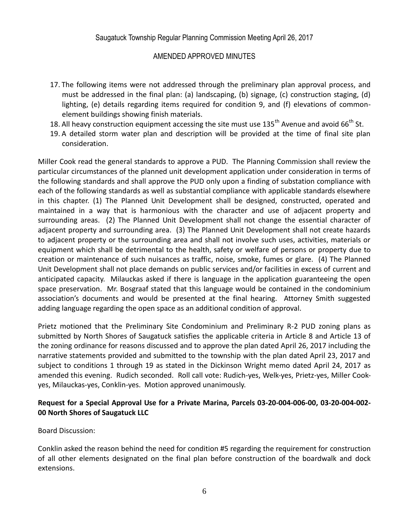- 17. The following items were not addressed through the preliminary plan approval process, and must be addressed in the final plan: (a) landscaping, (b) signage, (c) construction staging, (d) lighting, (e) details regarding items required for condition 9, and (f) elevations of commonelement buildings showing finish materials.
- 18. All heavy construction equipment accessing the site must use  $135<sup>th</sup>$  Avenue and avoid 66<sup>th</sup> St.
- 19. A detailed storm water plan and description will be provided at the time of final site plan consideration.

Miller Cook read the general standards to approve a PUD. The Planning Commission shall review the particular circumstances of the planned unit development application under consideration in terms of the following standards and shall approve the PUD only upon a finding of substation compliance with each of the following standards as well as substantial compliance with applicable standards elsewhere in this chapter. (1) The Planned Unit Development shall be designed, constructed, operated and maintained in a way that is harmonious with the character and use of adjacent property and surrounding areas. (2) The Planned Unit Development shall not change the essential character of adjacent property and surrounding area. (3) The Planned Unit Development shall not create hazards to adjacent property or the surrounding area and shall not involve such uses, activities, materials or equipment which shall be detrimental to the health, safety or welfare of persons or property due to creation or maintenance of such nuisances as traffic, noise, smoke, fumes or glare. (4) The Planned Unit Development shall not place demands on public services and/or facilities in excess of current and anticipated capacity. Milauckas asked if there is language in the application guaranteeing the open space preservation. Mr. Bosgraaf stated that this language would be contained in the condominium association's documents and would be presented at the final hearing. Attorney Smith suggested adding language regarding the open space as an additional condition of approval.

Prietz motioned that the Preliminary Site Condominium and Preliminary R-2 PUD zoning plans as submitted by North Shores of Saugatuck satisfies the applicable criteria in Article 8 and Article 13 of the zoning ordinance for reasons discussed and to approve the plan dated April 26, 2017 including the narrative statements provided and submitted to the township with the plan dated April 23, 2017 and subject to conditions 1 through 19 as stated in the Dickinson Wright memo dated April 24, 2017 as amended this evening. Rudich seconded. Roll call vote: Rudich-yes, Welk-yes, Prietz-yes, Miller Cookyes, Milauckas-yes, Conklin-yes. Motion approved unanimously.

#### **Request for a Special Approval Use for a Private Marina, Parcels 03-20-004-006-00, 03-20-004-002- 00 North Shores of Saugatuck LLC**

Board Discussion:

Conklin asked the reason behind the need for condition #5 regarding the requirement for construction of all other elements designated on the final plan before construction of the boardwalk and dock extensions.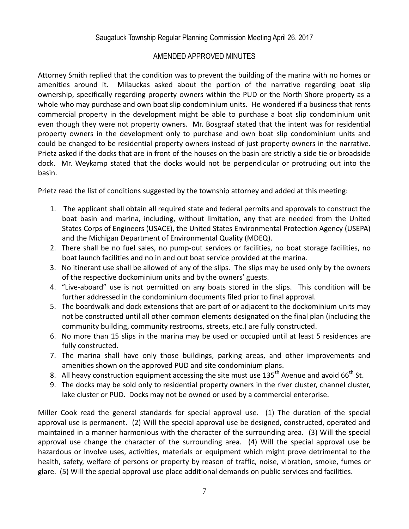Attorney Smith replied that the condition was to prevent the building of the marina with no homes or amenities around it. Milauckas asked about the portion of the narrative regarding boat slip ownership, specifically regarding property owners within the PUD or the North Shore property as a whole who may purchase and own boat slip condominium units. He wondered if a business that rents commercial property in the development might be able to purchase a boat slip condominium unit even though they were not property owners. Mr. Bosgraaf stated that the intent was for residential property owners in the development only to purchase and own boat slip condominium units and could be changed to be residential property owners instead of just property owners in the narrative. Prietz asked if the docks that are in front of the houses on the basin are strictly a side tie or broadside dock. Mr. Weykamp stated that the docks would not be perpendicular or protruding out into the basin.

Prietz read the list of conditions suggested by the township attorney and added at this meeting:

- 1. The applicant shall obtain all required state and federal permits and approvals to construct the boat basin and marina, including, without limitation, any that are needed from the United States Corps of Engineers (USACE), the United States Environmental Protection Agency (USEPA) and the Michigan Department of Environmental Quality (MDEQ).
- 2. There shall be no fuel sales, no pump-out services or facilities, no boat storage facilities, no boat launch facilities and no in and out boat service provided at the marina.
- 3. No itinerant use shall be allowed of any of the slips. The slips may be used only by the owners of the respective dockominium units and by the owners' guests.
- 4. "Live-aboard" use is not permitted on any boats stored in the slips. This condition will be further addressed in the condominium documents filed prior to final approval.
- 5. The boardwalk and dock extensions that are part of or adjacent to the dockominium units may not be constructed until all other common elements designated on the final plan (including the community building, community restrooms, streets, etc.) are fully constructed.
- 6. No more than 15 slips in the marina may be used or occupied until at least 5 residences are fully constructed.
- 7. The marina shall have only those buildings, parking areas, and other improvements and amenities shown on the approved PUD and site condominium plans.
- 8. All heavy construction equipment accessing the site must use  $135<sup>th</sup>$  Avenue and avoid 66<sup>th</sup> St.
- 9. The docks may be sold only to residential property owners in the river cluster, channel cluster, lake cluster or PUD. Docks may not be owned or used by a commercial enterprise.

Miller Cook read the general standards for special approval use. (1) The duration of the special approval use is permanent. (2) Will the special approval use be designed, constructed, operated and maintained in a manner harmonious with the character of the surrounding area. (3) Will the special approval use change the character of the surrounding area. (4) Will the special approval use be hazardous or involve uses, activities, materials or equipment which might prove detrimental to the health, safety, welfare of persons or property by reason of traffic, noise, vibration, smoke, fumes or glare. (5) Will the special approval use place additional demands on public services and facilities.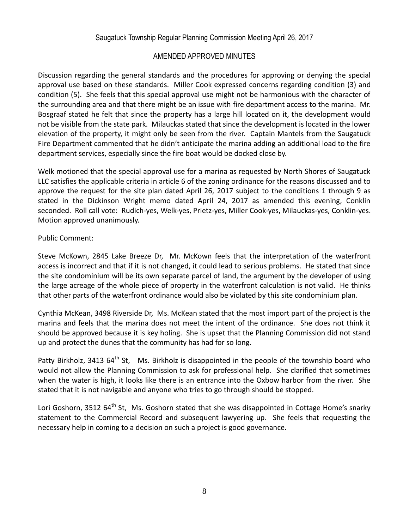Discussion regarding the general standards and the procedures for approving or denying the special approval use based on these standards. Miller Cook expressed concerns regarding condition (3) and condition (5). She feels that this special approval use might not be harmonious with the character of the surrounding area and that there might be an issue with fire department access to the marina. Mr. Bosgraaf stated he felt that since the property has a large hill located on it, the development would not be visible from the state park. Milauckas stated that since the development is located in the lower elevation of the property, it might only be seen from the river. Captain Mantels from the Saugatuck Fire Department commented that he didn't anticipate the marina adding an additional load to the fire department services, especially since the fire boat would be docked close by.

Welk motioned that the special approval use for a marina as requested by North Shores of Saugatuck LLC satisfies the applicable criteria in article 6 of the zoning ordinance for the reasons discussed and to approve the request for the site plan dated April 26, 2017 subject to the conditions 1 through 9 as stated in the Dickinson Wright memo dated April 24, 2017 as amended this evening, Conklin seconded. Roll call vote: Rudich-yes, Welk-yes, Prietz-yes, Miller Cook-yes, Milauckas-yes, Conklin-yes. Motion approved unanimously.

## Public Comment:

Steve McKown, 2845 Lake Breeze Dr, Mr. McKown feels that the interpretation of the waterfront access is incorrect and that if it is not changed, it could lead to serious problems. He stated that since the site condominium will be its own separate parcel of land, the argument by the developer of using the large acreage of the whole piece of property in the waterfront calculation is not valid. He thinks that other parts of the waterfront ordinance would also be violated by this site condominium plan.

Cynthia McKean, 3498 Riverside Dr, Ms. McKean stated that the most import part of the project is the marina and feels that the marina does not meet the intent of the ordinance. She does not think it should be approved because it is key holing. She is upset that the Planning Commission did not stand up and protect the dunes that the community has had for so long.

Patty Birkholz, 3413  $64^{\text{th}}$  St, Ms. Birkholz is disappointed in the people of the township board who would not allow the Planning Commission to ask for professional help. She clarified that sometimes when the water is high, it looks like there is an entrance into the Oxbow harbor from the river. She stated that it is not navigable and anyone who tries to go through should be stopped.

Lori Goshorn, 3512 64<sup>th</sup> St, Ms. Goshorn stated that she was disappointed in Cottage Home's snarky statement to the Commercial Record and subsequent lawyering up. She feels that requesting the necessary help in coming to a decision on such a project is good governance.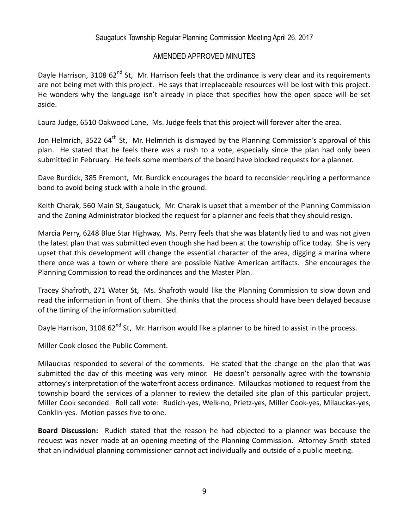Dayle Harrison, 3108 62<sup>nd</sup> St, Mr. Harrison feels that the ordinance is very clear and its requirements are not being met with this project. He says that irreplaceable resources will be lost with this project. He wonders why the language isn't already in place that specifies how the open space will be set aside.

Laura Judge, 6510 Oakwood Lane, Ms. Judge feels that this project will forever alter the area.

Jon Helmrich, 3522  $64<sup>th</sup>$  St, Mr. Helmrich is dismayed by the Planning Commission's approval of this plan. He stated that he feels there was a rush to a vote, especially since the plan had only been submitted in February. He feels some members of the board have blocked requests for a planner.

Dave Burdick, 385 Fremont, Mr. Burdick encourages the board to reconsider requiring a performance bond to avoid being stuck with a hole in the ground.

Keith Charak, 560 Main St, Saugatuck, Mr. Charak is upset that a member of the Planning Commission and the Zoning Administrator blocked the request for a planner and feels that they should resign.

Marcia Perry, 6248 Blue Star Highway, Ms. Perry feels that she was blatantly lied to and was not given the latest plan that was submitted even though she had been at the township office today. She is very upset that this development will change the essential character of the area, digging a marina where there once was a town or where there are possible Native American artifacts. She encourages the Planning Commission to read the ordinances and the Master Plan.

Tracey Shafroth, 271 Water St, Ms. Shafroth would like the Planning Commission to slow down and read the information in front of them. She thinks that the process should have been delayed because of the timing of the information submitted.

Dayle Harrison, 3108 62<sup>nd</sup> St, Mr. Harrison would like a planner to be hired to assist in the process.

Miller Cook closed the Public Comment.

Milauckas responded to several of the comments. He stated that the change on the plan that was submitted the day of this meeting was very minor. He doesn't personally agree with the township attorney's interpretation of the waterfront access ordinance. Milauckas motioned to request from the township board the services of a planner to review the detailed site plan of this particular project, Miller Cook seconded. Roll call vote: Rudich-yes, Welk-no, Prietz-yes, Miller Cook-yes, Milauckas-yes, Conklin-yes. Motion passes five to one.

**Board Discussion:** Rudich stated that the reason he had objected to a planner was because the request was never made at an opening meeting of the Planning Commission. Attorney Smith stated that an individual planning commissioner cannot act individually and outside of a public meeting.